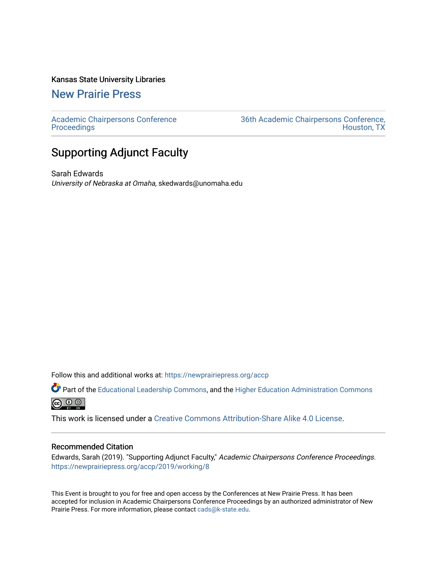#### Kansas State University Libraries

[New Prairie Press](https://newprairiepress.org/) 

[Academic Chairpersons Conference](https://newprairiepress.org/accp)  **Proceedings** 

[36th Academic Chairpersons Conference,](https://newprairiepress.org/accp/2019)  [Houston, TX](https://newprairiepress.org/accp/2019) 

# Supporting Adjunct Faculty

Sarah Edwards University of Nebraska at Omaha, skedwards@unomaha.edu

Follow this and additional works at: [https://newprairiepress.org/accp](https://newprairiepress.org/accp?utm_source=newprairiepress.org%2Faccp%2F2019%2Fworking%2F8&utm_medium=PDF&utm_campaign=PDFCoverPages) 

Part of the [Educational Leadership Commons,](http://network.bepress.com/hgg/discipline/1230?utm_source=newprairiepress.org%2Faccp%2F2019%2Fworking%2F8&utm_medium=PDF&utm_campaign=PDFCoverPages) and the [Higher Education Administration Commons](http://network.bepress.com/hgg/discipline/791?utm_source=newprairiepress.org%2Faccp%2F2019%2Fworking%2F8&utm_medium=PDF&utm_campaign=PDFCoverPages)  $\bigcirc$   $\bigcirc$   $\bigcirc$ 

This work is licensed under a [Creative Commons Attribution-Share Alike 4.0 License.](https://creativecommons.org/licenses/by-sa/4.0/)

#### Recommended Citation

Edwards, Sarah (2019). "Supporting Adjunct Faculty," Academic Chairpersons Conference Proceedings. <https://newprairiepress.org/accp/2019/working/8>

This Event is brought to you for free and open access by the Conferences at New Prairie Press. It has been accepted for inclusion in Academic Chairpersons Conference Proceedings by an authorized administrator of New Prairie Press. For more information, please contact [cads@k-state.edu.](mailto:cads@k-state.edu)